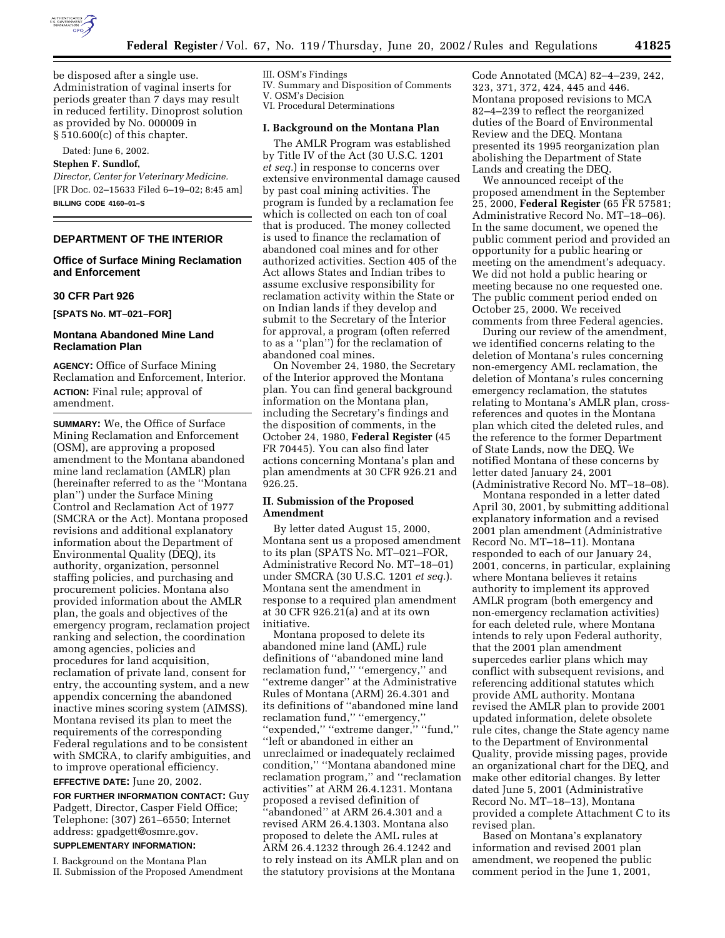

be disposed after a single use. Administration of vaginal inserts for periods greater than 7 days may result in reduced fertility. Dinoprost solution as provided by No. 000009 in § 510.600(c) of this chapter.

Dated: June 6, 2002.

### **Stephen F. Sundlof,**

*Director, Center for Veterinary Medicine.* [FR Doc. 02–15633 Filed 6–19–02; 8:45 am] **BILLING CODE 4160–01–S**

# **DEPARTMENT OF THE INTERIOR**

# **Office of Surface Mining Reclamation and Enforcement**

# **30 CFR Part 926**

**[SPATS No. MT–021–FOR]** 

# **Montana Abandoned Mine Land Reclamation Plan**

**AGENCY:** Office of Surface Mining Reclamation and Enforcement, Interior. **ACTION:** Final rule; approval of amendment.

**SUMMARY:** We, the Office of Surface Mining Reclamation and Enforcement (OSM), are approving a proposed amendment to the Montana abandoned mine land reclamation (AMLR) plan (hereinafter referred to as the ''Montana plan'') under the Surface Mining Control and Reclamation Act of 1977 (SMCRA or the Act). Montana proposed revisions and additional explanatory information about the Department of Environmental Quality (DEQ), its authority, organization, personnel staffing policies, and purchasing and procurement policies. Montana also provided information about the AMLR plan, the goals and objectives of the emergency program, reclamation project ranking and selection, the coordination among agencies, policies and procedures for land acquisition, reclamation of private land, consent for entry, the accounting system, and a new appendix concerning the abandoned inactive mines scoring system (AIMSS). Montana revised its plan to meet the requirements of the corresponding Federal regulations and to be consistent with SMCRA, to clarify ambiguities, and to improve operational efficiency.

### **EFFECTIVE DATE:** June 20, 2002.

**FOR FURTHER INFORMATION CONTACT:** Guy Padgett, Director, Casper Field Office; Telephone: (307) 261–6550; Internet address: gpadgett@osmre.gov.

# **SUPPLEMENTARY INFORMATION:**

I. Background on the Montana Plan II. Submission of the Proposed Amendment

#### III. OSM's Findings

IV. Summary and Disposition of Comments

V. OSM's Decision VI. Procedural Determinations

# **I. Background on the Montana Plan**

The AMLR Program was established by Title IV of the Act (30 U.S.C. 1201 *et seq.*) in response to concerns over extensive environmental damage caused by past coal mining activities. The program is funded by a reclamation fee which is collected on each ton of coal that is produced. The money collected is used to finance the reclamation of abandoned coal mines and for other authorized activities. Section 405 of the Act allows States and Indian tribes to assume exclusive responsibility for reclamation activity within the State or on Indian lands if they develop and submit to the Secretary of the Interior for approval, a program (often referred to as a ''plan'') for the reclamation of abandoned coal mines.

On November 24, 1980, the Secretary of the Interior approved the Montana plan. You can find general background information on the Montana plan, including the Secretary's findings and the disposition of comments, in the October 24, 1980, **Federal Register** (45 FR 70445). You can also find later actions concerning Montana's plan and plan amendments at 30 CFR 926.21 and 926.25.

# **II. Submission of the Proposed Amendment**

By letter dated August 15, 2000, Montana sent us a proposed amendment to its plan (SPATS No. MT–021–FOR, Administrative Record No. MT–18–01) under SMCRA (30 U.S.C. 1201 *et seq.*). Montana sent the amendment in response to a required plan amendment at 30 CFR 926.21(a) and at its own initiative.

Montana proposed to delete its abandoned mine land (AML) rule definitions of ''abandoned mine land reclamation fund," "emergency," and ''extreme danger'' at the Administrative Rules of Montana (ARM) 26.4.301 and its definitions of ''abandoned mine land reclamation fund," "emergency," ''expended,'' ''extreme danger,'' ''fund,'' ''left or abandoned in either an unreclaimed or inadequately reclaimed condition,'' ''Montana abandoned mine reclamation program,'' and ''reclamation activities'' at ARM 26.4.1231. Montana proposed a revised definition of ''abandoned'' at ARM 26.4.301 and a revised ARM 26.4.1303. Montana also proposed to delete the AML rules at ARM 26.4.1232 through 26.4.1242 and to rely instead on its AMLR plan and on the statutory provisions at the Montana

Code Annotated (MCA) 82–4–239, 242, 323, 371, 372, 424, 445 and 446. Montana proposed revisions to MCA 82–4–239 to reflect the reorganized duties of the Board of Environmental Review and the DEQ. Montana presented its 1995 reorganization plan abolishing the Department of State Lands and creating the DEQ.

We announced receipt of the proposed amendment in the September 25, 2000, **Federal Register** (65 FR 57581; Administrative Record No. MT–18–06). In the same document, we opened the public comment period and provided an opportunity for a public hearing or meeting on the amendment's adequacy. We did not hold a public hearing or meeting because no one requested one. The public comment period ended on October 25, 2000. We received comments from three Federal agencies.

During our review of the amendment, we identified concerns relating to the deletion of Montana's rules concerning non-emergency AML reclamation, the deletion of Montana's rules concerning emergency reclamation, the statutes relating to Montana's AMLR plan, crossreferences and quotes in the Montana plan which cited the deleted rules, and the reference to the former Department of State Lands, now the DEQ. We notified Montana of these concerns by letter dated January 24, 2001 (Administrative Record No. MT–18–08).

Montana responded in a letter dated April 30, 2001, by submitting additional explanatory information and a revised 2001 plan amendment (Administrative Record No. MT–18–11). Montana responded to each of our January 24, 2001, concerns, in particular, explaining where Montana believes it retains authority to implement its approved AMLR program (both emergency and non-emergency reclamation activities) for each deleted rule, where Montana intends to rely upon Federal authority, that the 2001 plan amendment supercedes earlier plans which may conflict with subsequent revisions, and referencing additional statutes which provide AML authority. Montana revised the AMLR plan to provide 2001 updated information, delete obsolete rule cites, change the State agency name to the Department of Environmental Quality, provide missing pages, provide an organizational chart for the DEQ, and make other editorial changes. By letter dated June 5, 2001 (Administrative Record No. MT–18–13), Montana provided a complete Attachment C to its revised plan.

Based on Montana's explanatory information and revised 2001 plan amendment, we reopened the public comment period in the June 1, 2001,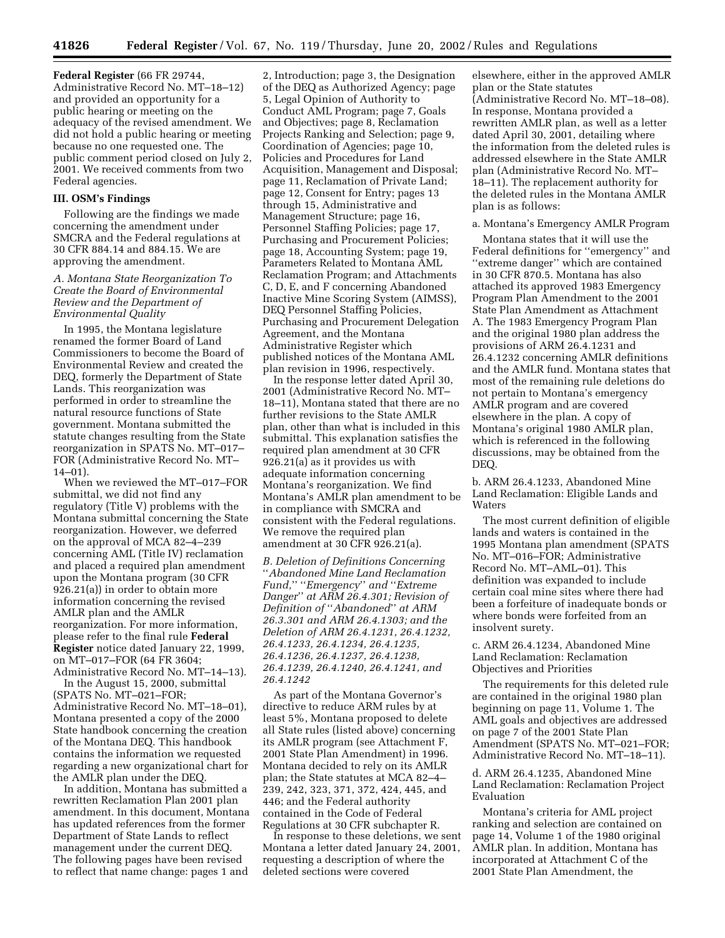**Federal Register** (66 FR 29744, Administrative Record No. MT–18–12) and provided an opportunity for a public hearing or meeting on the adequacy of the revised amendment. We did not hold a public hearing or meeting because no one requested one. The public comment period closed on July 2, 2001. We received comments from two Federal agencies.

### **III. OSM's Findings**

Following are the findings we made concerning the amendment under SMCRA and the Federal regulations at 30 CFR 884.14 and 884.15. We are approving the amendment.

# *A. Montana State Reorganization To Create the Board of Environmental Review and the Department of Environmental Quality*

In 1995, the Montana legislature renamed the former Board of Land Commissioners to become the Board of Environmental Review and created the DEQ, formerly the Department of State Lands. This reorganization was performed in order to streamline the natural resource functions of State government. Montana submitted the statute changes resulting from the State reorganization in SPATS No. MT–017– FOR (Administrative Record No. MT– 14–01).

When we reviewed the MT–017–FOR submittal, we did not find any regulatory (Title V) problems with the Montana submittal concerning the State reorganization. However, we deferred on the approval of MCA 82–4–239 concerning AML (Title IV) reclamation and placed a required plan amendment upon the Montana program (30 CFR 926.21(a)) in order to obtain more information concerning the revised AMLR plan and the AMLR reorganization. For more information, please refer to the final rule **Federal Register** notice dated January 22, 1999, on MT–017–FOR (64 FR 3604; Administrative Record No. MT–14–13).

In the August 15, 2000, submittal (SPATS No. MT–021–FOR; Administrative Record No. MT–18–01), Montana presented a copy of the 2000 State handbook concerning the creation of the Montana DEQ. This handbook contains the information we requested regarding a new organizational chart for the AMLR plan under the DEQ.

In addition, Montana has submitted a rewritten Reclamation Plan 2001 plan amendment. In this document, Montana has updated references from the former Department of State Lands to reflect management under the current DEQ. The following pages have been revised to reflect that name change: pages 1 and

2, Introduction; page 3, the Designation of the DEQ as Authorized Agency; page 5, Legal Opinion of Authority to Conduct AML Program; page 7, Goals and Objectives; page 8, Reclamation Projects Ranking and Selection; page 9, Coordination of Agencies; page 10, Policies and Procedures for Land Acquisition, Management and Disposal; page 11, Reclamation of Private Land; page 12, Consent for Entry; pages 13 through 15, Administrative and Management Structure; page 16, Personnel Staffing Policies; page 17, Purchasing and Procurement Policies; page 18, Accounting System; page 19, Parameters Related to Montana AML Reclamation Program; and Attachments C, D, E, and F concerning Abandoned Inactive Mine Scoring System (AIMSS), DEQ Personnel Staffing Policies, Purchasing and Procurement Delegation Agreement, and the Montana Administrative Register which published notices of the Montana AML plan revision in 1996, respectively.

In the response letter dated April 30, 2001 (Administrative Record No. MT– 18–11), Montana stated that there are no further revisions to the State AMLR plan, other than what is included in this submittal. This explanation satisfies the required plan amendment at 30 CFR 926.21(a) as it provides us with adequate information concerning Montana's reorganization. We find Montana's AMLR plan amendment to be in compliance with SMCRA and consistent with the Federal regulations. We remove the required plan amendment at 30 CFR 926.21(a).

*B. Deletion of Definitions Concerning*  ''*Abandoned Mine Land Reclamation Fund,*'' ''*Emergency*'' *and* ''*Extreme Danger*'' *at ARM 26.4.301; Revision of Definition of* ''*Abandoned*'' *at ARM 26.3.301 and ARM 26.4.1303; and the Deletion of ARM 26.4.1231, 26.4.1232, 26.4.1233, 26.4.1234, 26.4.1235, 26.4.1236, 26.4.1237, 26.4.1238, 26.4.1239, 26.4.1240, 26.4.1241, and 26.4.1242*

As part of the Montana Governor's directive to reduce ARM rules by at least 5%, Montana proposed to delete all State rules (listed above) concerning its AMLR program (see Attachment F, 2001 State Plan Amendment) in 1996. Montana decided to rely on its AMLR plan; the State statutes at MCA 82–4– 239, 242, 323, 371, 372, 424, 445, and 446; and the Federal authority contained in the Code of Federal Regulations at 30 CFR subchapter R.

In response to these deletions, we sent Montana a letter dated January 24, 2001, requesting a description of where the deleted sections were covered

elsewhere, either in the approved AMLR plan or the State statutes (Administrative Record No. MT–18–08). In response, Montana provided a rewritten AMLR plan, as well as a letter dated April 30, 2001, detailing where the information from the deleted rules is addressed elsewhere in the State AMLR plan (Administrative Record No. MT– 18–11). The replacement authority for the deleted rules in the Montana AMLR plan is as follows:

#### a. Montana's Emergency AMLR Program

Montana states that it will use the Federal definitions for ''emergency'' and "extreme danger" which are contained in 30 CFR 870.5. Montana has also attached its approved 1983 Emergency Program Plan Amendment to the 2001 State Plan Amendment as Attachment A. The 1983 Emergency Program Plan and the original 1980 plan address the provisions of ARM 26.4.1231 and 26.4.1232 concerning AMLR definitions and the AMLR fund. Montana states that most of the remaining rule deletions do not pertain to Montana's emergency AMLR program and are covered elsewhere in the plan. A copy of Montana's original 1980 AMLR plan, which is referenced in the following discussions, may be obtained from the DEQ.

b. ARM 26.4.1233, Abandoned Mine Land Reclamation: Eligible Lands and **Waters** 

The most current definition of eligible lands and waters is contained in the 1995 Montana plan amendment (SPATS No. MT–016–FOR; Administrative Record No. MT–AML–01). This definition was expanded to include certain coal mine sites where there had been a forfeiture of inadequate bonds or where bonds were forfeited from an insolvent surety.

c. ARM 26.4.1234, Abandoned Mine Land Reclamation: Reclamation Objectives and Priorities

The requirements for this deleted rule are contained in the original 1980 plan beginning on page 11, Volume 1. The AML goals and objectives are addressed on page 7 of the 2001 State Plan Amendment (SPATS No. MT–021–FOR; Administrative Record No. MT–18–11).

d. ARM 26.4.1235, Abandoned Mine Land Reclamation: Reclamation Project Evaluation

Montana's criteria for AML project ranking and selection are contained on page 14, Volume 1 of the 1980 original AMLR plan. In addition, Montana has incorporated at Attachment C of the 2001 State Plan Amendment, the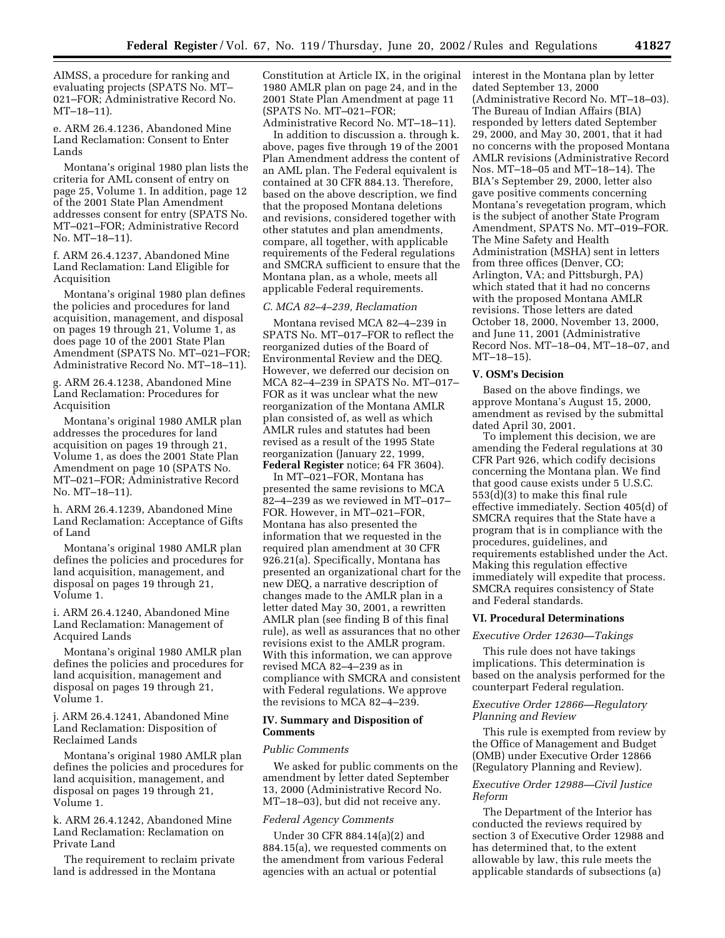AIMSS, a procedure for ranking and evaluating projects (SPATS No. MT– 021–FOR; Administrative Record No. MT–18–11).

e. ARM 26.4.1236, Abandoned Mine Land Reclamation: Consent to Enter Lands

Montana's original 1980 plan lists the criteria for AML consent of entry on page 25, Volume 1. In addition, page 12 of the 2001 State Plan Amendment addresses consent for entry (SPATS No. MT–021–FOR; Administrative Record No. MT–18–11).

f. ARM 26.4.1237, Abandoned Mine Land Reclamation: Land Eligible for Acquisition

Montana's original 1980 plan defines the policies and procedures for land acquisition, management, and disposal on pages 19 through 21, Volume 1, as does page 10 of the 2001 State Plan Amendment (SPATS No. MT–021–FOR; Administrative Record No. MT–18–11).

g. ARM 26.4.1238, Abandoned Mine Land Reclamation: Procedures for Acquisition

Montana's original 1980 AMLR plan addresses the procedures for land acquisition on pages 19 through 21, Volume 1, as does the 2001 State Plan Amendment on page 10 (SPATS No. MT–021–FOR; Administrative Record No. MT–18–11).

h. ARM 26.4.1239, Abandoned Mine Land Reclamation: Acceptance of Gifts of Land

Montana's original 1980 AMLR plan defines the policies and procedures for land acquisition, management, and disposal on pages 19 through 21, Volume 1.

i. ARM 26.4.1240, Abandoned Mine Land Reclamation: Management of Acquired Lands

Montana's original 1980 AMLR plan defines the policies and procedures for land acquisition, management and disposal on pages 19 through 21, Volume 1.

j. ARM 26.4.1241, Abandoned Mine Land Reclamation: Disposition of Reclaimed Lands

Montana's original 1980 AMLR plan defines the policies and procedures for land acquisition, management, and disposal on pages 19 through 21, Volume 1.

k. ARM 26.4.1242, Abandoned Mine Land Reclamation: Reclamation on Private Land

The requirement to reclaim private land is addressed in the Montana

Constitution at Article IX, in the original 1980 AMLR plan on page 24, and in the 2001 State Plan Amendment at page 11 (SPATS No. MT–021–FOR;

Administrative Record No. MT–18–11). In addition to discussion a. through k. above, pages five through 19 of the 2001 Plan Amendment address the content of an AML plan. The Federal equivalent is contained at 30 CFR 884.13. Therefore, based on the above description, we find that the proposed Montana deletions and revisions, considered together with other statutes and plan amendments, compare, all together, with applicable requirements of the Federal regulations and SMCRA sufficient to ensure that the Montana plan, as a whole, meets all applicable Federal requirements.

### *C. MCA 82–4–239, Reclamation*

Montana revised MCA 82–4–239 in SPATS No. MT–017–FOR to reflect the reorganized duties of the Board of Environmental Review and the DEQ. However, we deferred our decision on MCA 82–4–239 in SPATS No. MT–017– FOR as it was unclear what the new reorganization of the Montana AMLR plan consisted of, as well as which AMLR rules and statutes had been revised as a result of the 1995 State reorganization (January 22, 1999, **Federal Register** notice; 64 FR 3604).

In MT–021–FOR, Montana has presented the same revisions to MCA 82–4–239 as we reviewed in MT–017– FOR. However, in MT–021–FOR, Montana has also presented the information that we requested in the required plan amendment at 30 CFR 926.21(a). Specifically, Montana has presented an organizational chart for the new DEQ, a narrative description of changes made to the AMLR plan in a letter dated May 30, 2001, a rewritten AMLR plan (see finding B of this final rule), as well as assurances that no other revisions exist to the AMLR program. With this information, we can approve revised MCA 82–4–239 as in compliance with SMCRA and consistent with Federal regulations. We approve the revisions to MCA 82–4–239.

# **IV. Summary and Disposition of Comments**

# *Public Comments*

We asked for public comments on the amendment by letter dated September 13, 2000 (Administrative Record No. MT–18–03), but did not receive any.

### *Federal Agency Comments*

Under 30 CFR 884.14(a)(2) and 884.15(a), we requested comments on the amendment from various Federal agencies with an actual or potential

interest in the Montana plan by letter dated September 13, 2000 (Administrative Record No. MT–18–03). The Bureau of Indian Affairs (BIA) responded by letters dated September 29, 2000, and May 30, 2001, that it had no concerns with the proposed Montana AMLR revisions (Administrative Record Nos. MT–18–05 and MT–18–14). The BIA's September 29, 2000, letter also gave positive comments concerning Montana's revegetation program, which is the subject of another State Program Amendment, SPATS No. MT–019–FOR. The Mine Safety and Health Administration (MSHA) sent in letters from three offices (Denver, CO; Arlington, VA; and Pittsburgh, PA) which stated that it had no concerns with the proposed Montana AMLR revisions. Those letters are dated October 18, 2000, November 13, 2000, and June 11, 2001 (Administrative Record Nos. MT–18–04, MT–18–07, and MT–18–15).

# **V. OSM's Decision**

Based on the above findings, we approve Montana's August 15, 2000, amendment as revised by the submittal dated April 30, 2001.

To implement this decision, we are amending the Federal regulations at 30 CFR Part 926, which codify decisions concerning the Montana plan. We find that good cause exists under 5 U.S.C. 553(d)(3) to make this final rule effective immediately. Section 405(d) of SMCRA requires that the State have a program that is in compliance with the procedures, guidelines, and requirements established under the Act. Making this regulation effective immediately will expedite that process. SMCRA requires consistency of State and Federal standards.

### **VI. Procedural Determinations**

# *Executive Order 12630—Takings*

This rule does not have takings implications. This determination is based on the analysis performed for the counterpart Federal regulation.

# *Executive Order 12866—Regulatory Planning and Review*

This rule is exempted from review by the Office of Management and Budget (OMB) under Executive Order 12866 (Regulatory Planning and Review).

# *Executive Order 12988—Civil Justice Reform*

The Department of the Interior has conducted the reviews required by section 3 of Executive Order 12988 and has determined that, to the extent allowable by law, this rule meets the applicable standards of subsections (a)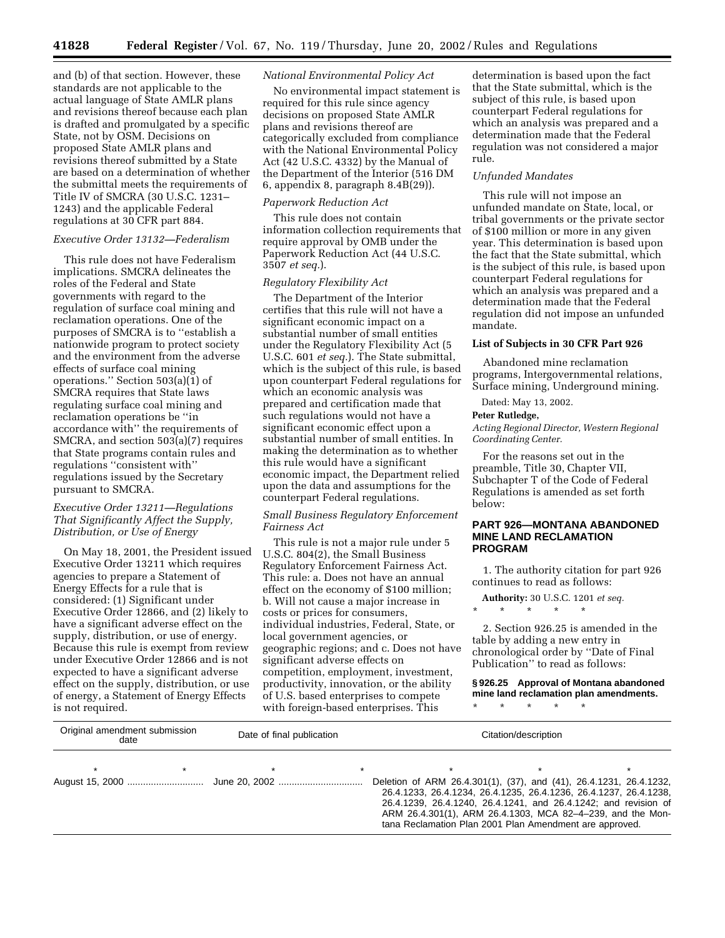and (b) of that section. However, these standards are not applicable to the actual language of State AMLR plans and revisions thereof because each plan is drafted and promulgated by a specific State, not by OSM. Decisions on proposed State AMLR plans and revisions thereof submitted by a State are based on a determination of whether the submittal meets the requirements of Title IV of SMCRA (30 U.S.C. 1231– 1243) and the applicable Federal regulations at 30 CFR part 884.

# *Executive Order 13132—Federalism*

This rule does not have Federalism implications. SMCRA delineates the roles of the Federal and State governments with regard to the regulation of surface coal mining and reclamation operations. One of the purposes of SMCRA is to ''establish a nationwide program to protect society and the environment from the adverse effects of surface coal mining operations.'' Section 503(a)(1) of SMCRA requires that State laws regulating surface coal mining and reclamation operations be ''in accordance with'' the requirements of SMCRA, and section 503(a)(7) requires that State programs contain rules and regulations ''consistent with'' regulations issued by the Secretary pursuant to SMCRA.

# *Executive Order 13211—Regulations That Significantly Affect the Supply, Distribution, or Use of Energy*

On May 18, 2001, the President issued Executive Order 13211 which requires agencies to prepare a Statement of Energy Effects for a rule that is considered: (1) Significant under Executive Order 12866, and (2) likely to have a significant adverse effect on the supply, distribution, or use of energy. Because this rule is exempt from review under Executive Order 12866 and is not expected to have a significant adverse effect on the supply, distribution, or use of energy, a Statement of Energy Effects is not required.

#### *National Environmental Policy Act*

No environmental impact statement is required for this rule since agency decisions on proposed State AMLR plans and revisions thereof are categorically excluded from compliance with the National Environmental Policy Act (42 U.S.C. 4332) by the Manual of the Department of the Interior (516 DM 6, appendix 8, paragraph 8.4B(29)).

# *Paperwork Reduction Act*

This rule does not contain information collection requirements that require approval by OMB under the Paperwork Reduction Act (44 U.S.C. 3507 *et seq.*).

### *Regulatory Flexibility Act*

The Department of the Interior certifies that this rule will not have a significant economic impact on a substantial number of small entities under the Regulatory Flexibility Act (5 U.S.C. 601 *et seq.*). The State submittal, which is the subject of this rule, is based upon counterpart Federal regulations for which an economic analysis was prepared and certification made that such regulations would not have a significant economic effect upon a substantial number of small entities. In making the determination as to whether this rule would have a significant economic impact, the Department relied upon the data and assumptions for the counterpart Federal regulations.

# *Small Business Regulatory Enforcement Fairness Act*

This rule is not a major rule under 5 U.S.C. 804(2), the Small Business Regulatory Enforcement Fairness Act. This rule: a. Does not have an annual effect on the economy of \$100 million; b. Will not cause a major increase in costs or prices for consumers, individual industries, Federal, State, or local government agencies, or geographic regions; and c. Does not have significant adverse effects on competition, employment, investment, productivity, innovation, or the ability of U.S. based enterprises to compete with foreign-based enterprises. This

determination is based upon the fact that the State submittal, which is the subject of this rule, is based upon counterpart Federal regulations for which an analysis was prepared and a determination made that the Federal regulation was not considered a major rule.

# *Unfunded Mandates*

This rule will not impose an unfunded mandate on State, local, or tribal governments or the private sector of \$100 million or more in any given year. This determination is based upon the fact that the State submittal, which is the subject of this rule, is based upon counterpart Federal regulations for which an analysis was prepared and a determination made that the Federal regulation did not impose an unfunded mandate.

# **List of Subjects in 30 CFR Part 926**

Abandoned mine reclamation programs, Intergovernmental relations, Surface mining, Underground mining.

Dated: May 13, 2002.

# **Peter Rutledge,**

*Acting Regional Director, Western Regional Coordinating Center.*

For the reasons set out in the preamble, Title 30, Chapter VII, Subchapter T of the Code of Federal Regulations is amended as set forth below:

# **PART 926—MONTANA ABANDONED MINE LAND RECLAMATION PROGRAM**

1. The authority citation for part 926 continues to read as follows:

**Authority:** 30 U.S.C. 1201 *et seq.*

\* \* \* \* \*

\* \* \* \* \*

2. Section 926.25 is amended in the table by adding a new entry in chronological order by ''Date of Final Publication'' to read as follows:

**§ 926.25 Approval of Montana abandoned mine land reclamation plan amendments.**

| Original amendment submission<br>date |  | Date of final publication |  | Citation/description                                                                                                                                                                                                                                                                                                                |  |  |
|---------------------------------------|--|---------------------------|--|-------------------------------------------------------------------------------------------------------------------------------------------------------------------------------------------------------------------------------------------------------------------------------------------------------------------------------------|--|--|
|                                       |  |                           |  |                                                                                                                                                                                                                                                                                                                                     |  |  |
|                                       |  |                           |  | Deletion of ARM 26.4.301(1), (37), and (41), 26.4.1231, 26.4.1232,<br>26.4.1233, 26.4.1234, 26.4.1235, 26.4.1236, 26.4.1237, 26.4.1238,<br>26.4.1239, 26.4.1240, 26.4.1241, and 26.4.1242; and revision of<br>ARM 26.4.301(1), ARM 26.4.1303, MCA 82-4-239, and the Mon-<br>tana Reclamation Plan 2001 Plan Amendment are approved. |  |  |